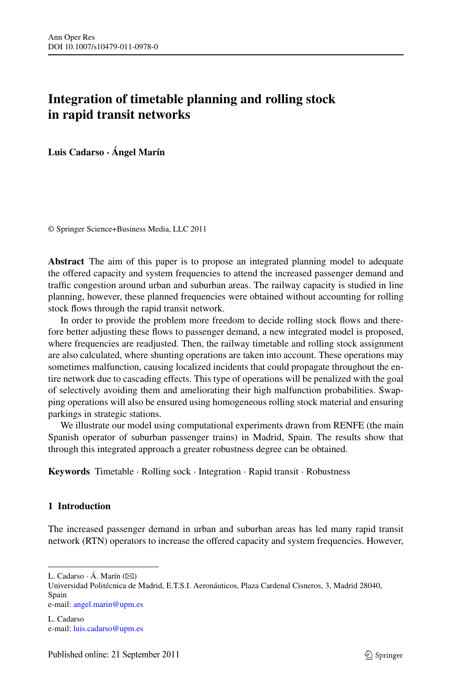# **Integration of timetable planning and rolling stock in rapid transit networks**

**Luis Cadarso · Ángel Marín**

© Springer Science+Business Media, LLC 2011

**Abstract** The aim of this paper is to propose an integrated planning model to adequate the offered capacity and system frequencies to attend the increased passenger demand and traffic congestion around urban and suburban areas. The railway capacity is studied in line planning, however, these planned frequencies were obtained without accounting for rolling stock flows through the rapid transit network.

In order to provide the problem more freedom to decide rolling stock flows and therefore better adjusting these flows to passenger demand, a new integrated model is proposed, where frequencies are readjusted. Then, the railway timetable and rolling stock assignment are also calculated, where shunting operations are taken into account. These operations may sometimes malfunction, causing localized incidents that could propagate throughout the entire network due to cascading effects. This type of operations will be penalized with the goal of selectively avoiding them and ameliorating their high malfunction probabilities. Swapping operations will also be ensured using homogeneous rolling stock material and ensuring parkings in strategic stations.

We illustrate our model using computational experiments drawn from RENFE (the main Spanish operator of suburban passenger trains) in Madrid, Spain. The results show that through this integrated approach a greater robustness degree can be obtained.

**Keywords** Timetable · Rolling sock · Integration · Rapid transit · Robustness

# **1 Introduction**

The increased passenger demand in urban and suburban areas has led many rapid transit network (RTN) operators to increase the offered capacity and system frequencies. However,

L. Cadarso  $\cdot$  Á. Marín ( $\boxtimes$ )

Universidad Politécnica de Madrid, E.T.S.I. Aeronáuticos, Plaza Cardenal Cisneros, 3, Madrid 28040, Spain

e-mail: [angel.marin@upm.es](mailto:angel.marin@upm.es)

L. Cadarso e-mail: [luis.cadarso@upm.es](mailto:luis.cadarso@upm.es)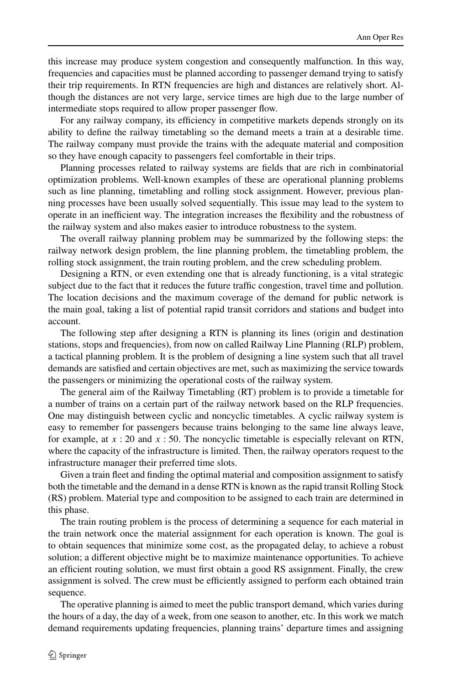this increase may produce system congestion and consequently malfunction. In this way, frequencies and capacities must be planned according to passenger demand trying to satisfy their trip requirements. In RTN frequencies are high and distances are relatively short. Although the distances are not very large, service times are high due to the large number of intermediate stops required to allow proper passenger flow.

For any railway company, its efficiency in competitive markets depends strongly on its ability to define the railway timetabling so the demand meets a train at a desirable time. The railway company must provide the trains with the adequate material and composition so they have enough capacity to passengers feel comfortable in their trips.

Planning processes related to railway systems are fields that are rich in combinatorial optimization problems. Well-known examples of these are operational planning problems such as line planning, timetabling and rolling stock assignment. However, previous planning processes have been usually solved sequentially. This issue may lead to the system to operate in an inefficient way. The integration increases the flexibility and the robustness of the railway system and also makes easier to introduce robustness to the system.

The overall railway planning problem may be summarized by the following steps: the railway network design problem, the line planning problem, the timetabling problem, the rolling stock assignment, the train routing problem, and the crew scheduling problem.

Designing a RTN, or even extending one that is already functioning, is a vital strategic subject due to the fact that it reduces the future traffic congestion, travel time and pollution. The location decisions and the maximum coverage of the demand for public network is the main goal, taking a list of potential rapid transit corridors and stations and budget into account.

The following step after designing a RTN is planning its lines (origin and destination stations, stops and frequencies), from now on called Railway Line Planning (RLP) problem, a tactical planning problem. It is the problem of designing a line system such that all travel demands are satisfied and certain objectives are met, such as maximizing the service towards the passengers or minimizing the operational costs of the railway system.

The general aim of the Railway Timetabling (RT) problem is to provide a timetable for a number of trains on a certain part of the railway network based on the RLP frequencies. One may distinguish between cyclic and noncyclic timetables. A cyclic railway system is easy to remember for passengers because trains belonging to the same line always leave, for example, at *x* : 20 and *x* : 50. The noncyclic timetable is especially relevant on RTN, where the capacity of the infrastructure is limited. Then, the railway operators request to the infrastructure manager their preferred time slots.

Given a train fleet and finding the optimal material and composition assignment to satisfy both the timetable and the demand in a dense RTN is known as the rapid transit Rolling Stock (RS) problem. Material type and composition to be assigned to each train are determined in this phase.

The train routing problem is the process of determining a sequence for each material in the train network once the material assignment for each operation is known. The goal is to obtain sequences that minimize some cost, as the propagated delay, to achieve a robust solution; a different objective might be to maximize maintenance opportunities. To achieve an efficient routing solution, we must first obtain a good RS assignment. Finally, the crew assignment is solved. The crew must be efficiently assigned to perform each obtained train sequence.

The operative planning is aimed to meet the public transport demand, which varies during the hours of a day, the day of a week, from one season to another, etc. In this work we match demand requirements updating frequencies, planning trains' departure times and assigning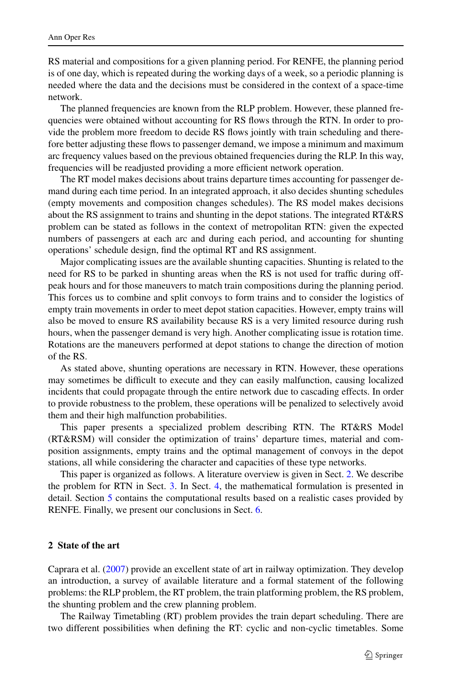RS material and compositions for a given planning period. For RENFE, the planning period is of one day, which is repeated during the working days of a week, so a periodic planning is needed where the data and the decisions must be considered in the context of a space-time network.

The planned frequencies are known from the RLP problem. However, these planned frequencies were obtained without accounting for RS flows through the RTN. In order to provide the problem more freedom to decide RS flows jointly with train scheduling and therefore better adjusting these flows to passenger demand, we impose a minimum and maximum arc frequency values based on the previous obtained frequencies during the RLP. In this way, frequencies will be readjusted providing a more efficient network operation.

The RT model makes decisions about trains departure times accounting for passenger demand during each time period. In an integrated approach, it also decides shunting schedules (empty movements and composition changes schedules). The RS model makes decisions about the RS assignment to trains and shunting in the depot stations. The integrated RT&RS problem can be stated as follows in the context of metropolitan RTN: given the expected numbers of passengers at each arc and during each period, and accounting for shunting operations' schedule design, find the optimal RT and RS assignment.

Major complicating issues are the available shunting capacities. Shunting is related to the need for RS to be parked in shunting areas when the RS is not used for traffic during offpeak hours and for those maneuvers to match train compositions during the planning period. This forces us to combine and split convoys to form trains and to consider the logistics of empty train movements in order to meet depot station capacities. However, empty trains will also be moved to ensure RS availability because RS is a very limited resource during rush hours, when the passenger demand is very high. Another complicating issue is rotation time. Rotations are the maneuvers performed at depot stations to change the direction of motion of the RS.

As stated above, shunting operations are necessary in RTN. However, these operations may sometimes be difficult to execute and they can easily malfunction, causing localized incidents that could propagate through the entire network due to cascading effects. In order to provide robustness to the problem, these operations will be penalized to selectively avoid them and their high malfunction probabilities.

This paper presents a specialized problem describing RTN. The RT&RS Model (RT&RSM) will consider the optimization of trains' departure times, material and composition assignments, empty trains and the optimal management of convoys in the depot stations, all while considering the character and capacities of these type networks.

<span id="page-2-0"></span>This paper is organized as follows. A literature overview is given in Sect. [2.](#page-2-0) We describe the problem for RTN in Sect. [3.](#page-4-0) In Sect. [4](#page-7-0), the mathematical formulation is presented in detail. Section [5](#page-12-0) contains the computational results based on a realistic cases provided by RENFE. Finally, we present our conclusions in Sect. [6](#page-20-0).

# **2 State of the art**

Caprara et al. ([2007\)](#page-22-0) provide an excellent state of art in railway optimization. They develop an introduction, a survey of available literature and a formal statement of the following problems: the RLP problem, the RT problem, the train platforming problem, the RS problem, the shunting problem and the crew planning problem.

The Railway Timetabling (RT) problem provides the train depart scheduling. There are two different possibilities when defining the RT: cyclic and non-cyclic timetables. Some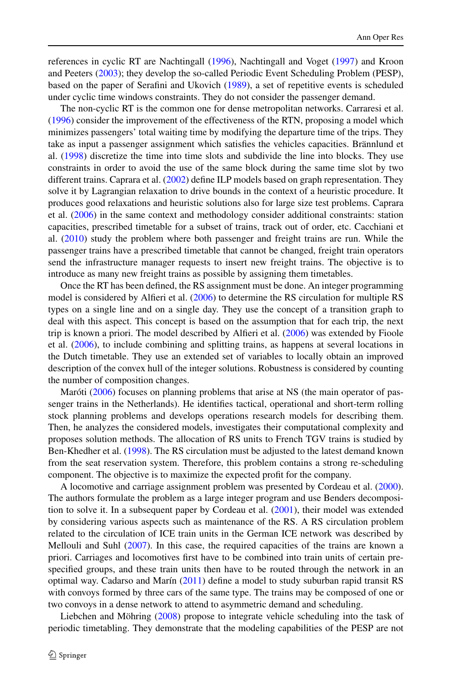references in cyclic RT are Nachtingall ([1996\)](#page-22-1), Nachtingall and Voget [\(1997\)](#page-22-2) and Kroon and Peeters ([2003\)](#page-22-3); they develop the so-called Periodic Event Scheduling Problem (PESP), based on the paper of Serafini and Ukovich [\(1989\)](#page-22-4), a set of repetitive events is scheduled under cyclic time windows constraints. They do not consider the passenger demand.

The non-cyclic RT is the common one for dense metropolitan networks. Carraresi et al. ([1996\)](#page-22-5) consider the improvement of the effectiveness of the RTN, proposing a model which minimizes passengers' total waiting time by modifying the departure time of the trips. They take as input a passenger assignment which satisfies the vehicles capacities. Brännlund et al. [\(1998](#page-21-0)) discretize the time into time slots and subdivide the line into blocks. They use constraints in order to avoid the use of the same block during the same time slot by two different trains. Caprara et al. ([2002\)](#page-21-1) define ILP models based on graph representation. They solve it by Lagrangian relaxation to drive bounds in the context of a heuristic procedure. It produces good relaxations and heuristic solutions also for large size test problems. Caprara et al. ([2006\)](#page-22-6) in the same context and methodology consider additional constraints: station capacities, prescribed timetable for a subset of trains, track out of order, etc. Cacchiani et al. ([2010\)](#page-21-2) study the problem where both passenger and freight trains are run. While the passenger trains have a prescribed timetable that cannot be changed, freight train operators send the infrastructure manager requests to insert new freight trains. The objective is to introduce as many new freight trains as possible by assigning them timetables.

Once the RT has been defined, the RS assignment must be done. An integer programming model is considered by Alfieri et al. [\(2006](#page-21-3)) to determine the RS circulation for multiple RS types on a single line and on a single day. They use the concept of a transition graph to deal with this aspect. This concept is based on the assumption that for each trip, the next trip is known a priori. The model described by Alfieri et al. ([2006\)](#page-21-3) was extended by Fioole et al. [\(2006](#page-22-7)), to include combining and splitting trains, as happens at several locations in the Dutch timetable. They use an extended set of variables to locally obtain an improved description of the convex hull of the integer solutions. Robustness is considered by counting the number of composition changes.

Maróti [\(2006](#page-22-8)) focuses on planning problems that arise at NS (the main operator of passenger trains in the Netherlands). He identifies tactical, operational and short-term rolling stock planning problems and develops operations research models for describing them. Then, he analyzes the considered models, investigates their computational complexity and proposes solution methods. The allocation of RS units to French TGV trains is studied by Ben-Khedher et al. ([1998\)](#page-21-4). The RS circulation must be adjusted to the latest demand known from the seat reservation system. Therefore, this problem contains a strong re-scheduling component. The objective is to maximize the expected profit for the company.

A locomotive and carriage assignment problem was presented by Cordeau et al. [\(2000](#page-22-9)). The authors formulate the problem as a large integer program and use Benders decomposition to solve it. In a subsequent paper by Cordeau et al. ([2001\)](#page-22-10), their model was extended by considering various aspects such as maintenance of the RS. A RS circulation problem related to the circulation of ICE train units in the German ICE network was described by Mellouli and Suhl [\(2007\)](#page-22-11). In this case, the required capacities of the trains are known a priori. Carriages and locomotives first have to be combined into train units of certain prespecified groups, and these train units then have to be routed through the network in an optimal way. Cadarso and Marín ([2011\)](#page-21-5) define a model to study suburban rapid transit RS with convoys formed by three cars of the same type. The trains may be composed of one or two convoys in a dense network to attend to asymmetric demand and scheduling.

Liebchen and Möhring ([2008\)](#page-22-12) propose to integrate vehicle scheduling into the task of periodic timetabling. They demonstrate that the modeling capabilities of the PESP are not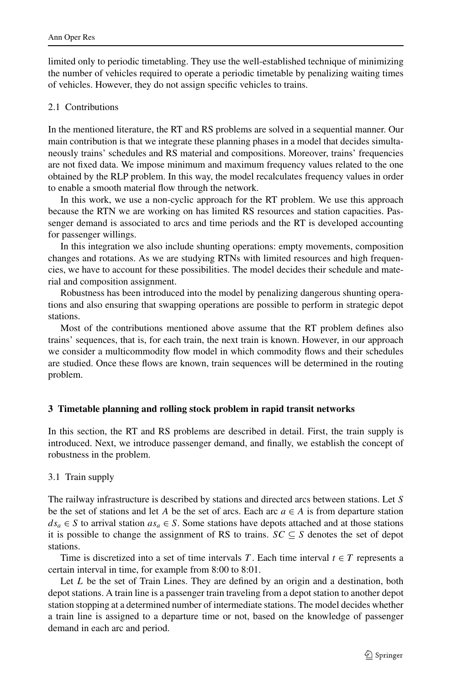limited only to periodic timetabling. They use the well-established technique of minimizing the number of vehicles required to operate a periodic timetable by penalizing waiting times of vehicles. However, they do not assign specific vehicles to trains.

# 2.1 Contributions

In the mentioned literature, the RT and RS problems are solved in a sequential manner. Our main contribution is that we integrate these planning phases in a model that decides simultaneously trains' schedules and RS material and compositions. Moreover, trains' frequencies are not fixed data. We impose minimum and maximum frequency values related to the one obtained by the RLP problem. In this way, the model recalculates frequency values in order to enable a smooth material flow through the network.

In this work, we use a non-cyclic approach for the RT problem. We use this approach because the RTN we are working on has limited RS resources and station capacities. Passenger demand is associated to arcs and time periods and the RT is developed accounting for passenger willings.

In this integration we also include shunting operations: empty movements, composition changes and rotations. As we are studying RTNs with limited resources and high frequencies, we have to account for these possibilities. The model decides their schedule and material and composition assignment.

Robustness has been introduced into the model by penalizing dangerous shunting operations and also ensuring that swapping operations are possible to perform in strategic depot stations.

<span id="page-4-0"></span>Most of the contributions mentioned above assume that the RT problem defines also trains' sequences, that is, for each train, the next train is known. However, in our approach we consider a multicommodity flow model in which commodity flows and their schedules are studied. Once these flows are known, train sequences will be determined in the routing problem.

# **3 Timetable planning and rolling stock problem in rapid transit networks**

In this section, the RT and RS problems are described in detail. First, the train supply is introduced. Next, we introduce passenger demand, and finally, we establish the concept of robustness in the problem.

# 3.1 Train supply

The railway infrastructure is described by stations and directed arcs between stations. Let *S* be the set of stations and let *A* be the set of arcs. Each arc  $a \in A$  is from departure station  $ds_a \in S$  to arrival station  $as_a \in S$ . Some stations have depots attached and at those stations it is possible to change the assignment of RS to trains.  $SC \subseteq S$  denotes the set of depot stations.

Time is discretized into a set of time intervals *T*. Each time interval  $t \in T$  represents a certain interval in time, for example from 8:00 to 8:01.

Let *L* be the set of Train Lines. They are defined by an origin and a destination, both depot stations. A train line is a passenger train traveling from a depot station to another depot station stopping at a determined number of intermediate stations. The model decides whether a train line is assigned to a departure time or not, based on the knowledge of passenger demand in each arc and period.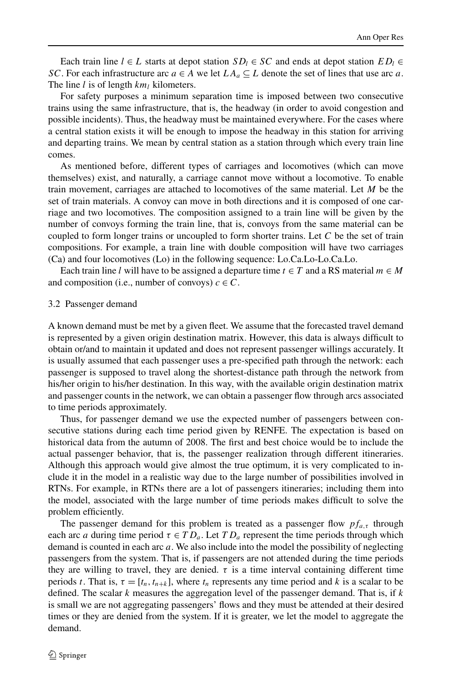Each train line  $l \in L$  starts at depot station  $SD_l \in SC$  and ends at depot station  $ED_l \in$ *SC*. For each infrastructure arc  $a \in A$  we let  $LA_a \subseteq L$  denote the set of lines that use arc *a*. The line  $l$  is of length  $km_l$  kilometers.

For safety purposes a minimum separation time is imposed between two consecutive trains using the same infrastructure, that is, the headway (in order to avoid congestion and possible incidents). Thus, the headway must be maintained everywhere. For the cases where a central station exists it will be enough to impose the headway in this station for arriving and departing trains. We mean by central station as a station through which every train line comes.

As mentioned before, different types of carriages and locomotives (which can move themselves) exist, and naturally, a carriage cannot move without a locomotive. To enable train movement, carriages are attached to locomotives of the same material. Let *M* be the set of train materials. A convoy can move in both directions and it is composed of one carriage and two locomotives. The composition assigned to a train line will be given by the number of convoys forming the train line, that is, convoys from the same material can be coupled to form longer trains or uncoupled to form shorter trains. Let *C* be the set of train compositions. For example, a train line with double composition will have two carriages (Ca) and four locomotives (Lo) in the following sequence: Lo.Ca.Lo-Lo.Ca.Lo.

Each train line *l* will have to be assigned a departure time  $t \in T$  and a RS material  $m \in M$ and composition (i.e., number of convoys)  $c \in C$ .

### 3.2 Passenger demand

A known demand must be met by a given fleet. We assume that the forecasted travel demand is represented by a given origin destination matrix. However, this data is always difficult to obtain or/and to maintain it updated and does not represent passenger willings accurately. It is usually assumed that each passenger uses a pre-specified path through the network: each passenger is supposed to travel along the shortest-distance path through the network from his/her origin to his/her destination. In this way, with the available origin destination matrix and passenger counts in the network, we can obtain a passenger flow through arcs associated to time periods approximately.

Thus, for passenger demand we use the expected number of passengers between consecutive stations during each time period given by RENFE. The expectation is based on historical data from the autumn of 2008. The first and best choice would be to include the actual passenger behavior, that is, the passenger realization through different itineraries. Although this approach would give almost the true optimum, it is very complicated to include it in the model in a realistic way due to the large number of possibilities involved in RTNs. For example, in RTNs there are a lot of passengers itineraries; including them into the model, associated with the large number of time periods makes difficult to solve the problem efficiently.

The passenger demand for this problem is treated as a passenger flow  $pf_{a,\tau}$  through each arc *a* during time period  $\tau \in TD_a$ . Let  $TD_a$  represent the time periods through which demand is counted in each arc *a*. We also include into the model the possibility of neglecting passengers from the system. That is, if passengers are not attended during the time periods they are willing to travel, they are denied.  $\tau$  is a time interval containing different time periods *t*. That is,  $\tau = [t_n, t_{n+k}]$ , where  $t_n$  represents any time period and *k* is a scalar to be defined. The scalar *k* measures the aggregation level of the passenger demand. That is, if *k* is small we are not aggregating passengers' flows and they must be attended at their desired times or they are denied from the system. If it is greater, we let the model to aggregate the demand.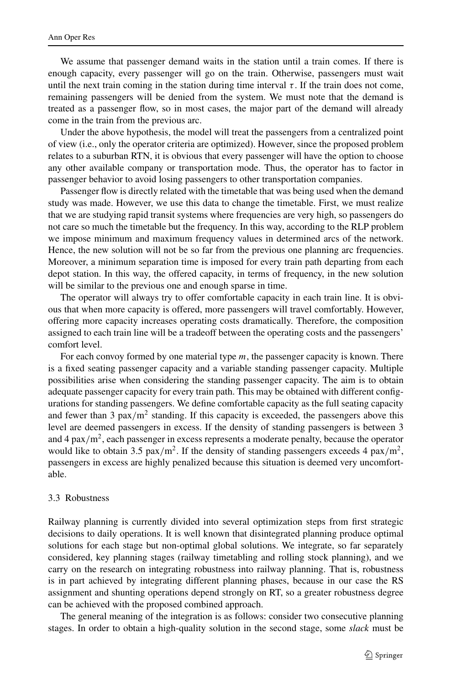We assume that passenger demand waits in the station until a train comes. If there is enough capacity, every passenger will go on the train. Otherwise, passengers must wait until the next train coming in the station during time interval  $\tau$ . If the train does not come, remaining passengers will be denied from the system. We must note that the demand is treated as a passenger flow, so in most cases, the major part of the demand will already come in the train from the previous arc.

Under the above hypothesis, the model will treat the passengers from a centralized point of view (i.e., only the operator criteria are optimized). However, since the proposed problem relates to a suburban RTN, it is obvious that every passenger will have the option to choose any other available company or transportation mode. Thus, the operator has to factor in passenger behavior to avoid losing passengers to other transportation companies.

Passenger flow is directly related with the timetable that was being used when the demand study was made. However, we use this data to change the timetable. First, we must realize that we are studying rapid transit systems where frequencies are very high, so passengers do not care so much the timetable but the frequency. In this way, according to the RLP problem we impose minimum and maximum frequency values in determined arcs of the network. Hence, the new solution will not be so far from the previous one planning arc frequencies. Moreover, a minimum separation time is imposed for every train path departing from each depot station. In this way, the offered capacity, in terms of frequency, in the new solution will be similar to the previous one and enough sparse in time.

The operator will always try to offer comfortable capacity in each train line. It is obvious that when more capacity is offered, more passengers will travel comfortably. However, offering more capacity increases operating costs dramatically. Therefore, the composition assigned to each train line will be a tradeoff between the operating costs and the passengers' comfort level.

For each convoy formed by one material type *m*, the passenger capacity is known. There is a fixed seating passenger capacity and a variable standing passenger capacity. Multiple possibilities arise when considering the standing passenger capacity. The aim is to obtain adequate passenger capacity for every train path. This may be obtained with different configurations for standing passengers. We define comfortable capacity as the full seating capacity and fewer than 3 pax/ $m<sup>2</sup>$  standing. If this capacity is exceeded, the passengers above this level are deemed passengers in excess. If the density of standing passengers is between 3 and 4 pax*/*m2, each passenger in excess represents a moderate penalty, because the operator would like to obtain 3.5 pax/m<sup>2</sup>. If the density of standing passengers exceeds 4 pax/m<sup>2</sup>, passengers in excess are highly penalized because this situation is deemed very uncomfortable.

### 3.3 Robustness

Railway planning is currently divided into several optimization steps from first strategic decisions to daily operations. It is well known that disintegrated planning produce optimal solutions for each stage but non-optimal global solutions. We integrate, so far separately considered, key planning stages (railway timetabling and rolling stock planning), and we carry on the research on integrating robustness into railway planning. That is, robustness is in part achieved by integrating different planning phases, because in our case the RS assignment and shunting operations depend strongly on RT, so a greater robustness degree can be achieved with the proposed combined approach.

The general meaning of the integration is as follows: consider two consecutive planning stages. In order to obtain a high-quality solution in the second stage, some *slack* must be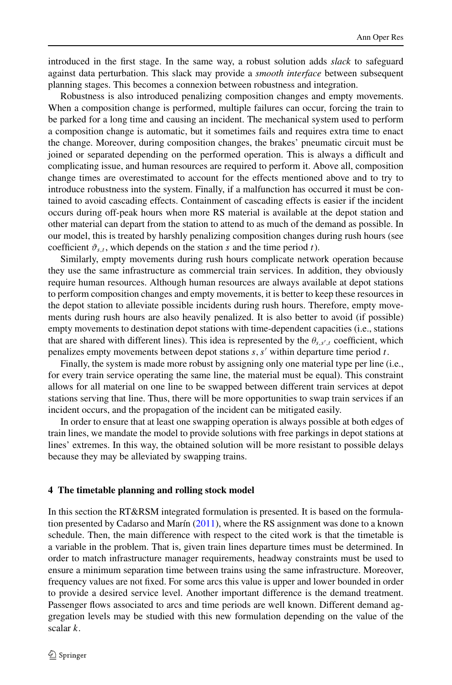introduced in the first stage. In the same way, a robust solution adds *slack* to safeguard against data perturbation. This slack may provide a *smooth interface* between subsequent planning stages. This becomes a connexion between robustness and integration.

Robustness is also introduced penalizing composition changes and empty movements. When a composition change is performed, multiple failures can occur, forcing the train to be parked for a long time and causing an incident. The mechanical system used to perform a composition change is automatic, but it sometimes fails and requires extra time to enact the change. Moreover, during composition changes, the brakes' pneumatic circuit must be joined or separated depending on the performed operation. This is always a difficult and complicating issue, and human resources are required to perform it. Above all, composition change times are overestimated to account for the effects mentioned above and to try to introduce robustness into the system. Finally, if a malfunction has occurred it must be contained to avoid cascading effects. Containment of cascading effects is easier if the incident occurs during off-peak hours when more RS material is available at the depot station and other material can depart from the station to attend to as much of the demand as possible. In our model, this is treated by harshly penalizing composition changes during rush hours (see coefficient  $\vartheta_{s,t}$ , which depends on the station *s* and the time period *t*).

Similarly, empty movements during rush hours complicate network operation because they use the same infrastructure as commercial train services. In addition, they obviously require human resources. Although human resources are always available at depot stations to perform composition changes and empty movements, it is better to keep these resources in the depot station to alleviate possible incidents during rush hours. Therefore, empty movements during rush hours are also heavily penalized. It is also better to avoid (if possible) empty movements to destination depot stations with time-dependent capacities (i.e., stations that are shared with different lines). This idea is represented by the  $\theta_{s,s',t}$  coefficient, which penalizes empty movements between depot stations  $s, s'$  within departure time period  $t$ .

Finally, the system is made more robust by assigning only one material type per line (i.e., for every train service operating the same line, the material must be equal). This constraint allows for all material on one line to be swapped between different train services at depot stations serving that line. Thus, there will be more opportunities to swap train services if an incident occurs, and the propagation of the incident can be mitigated easily.

<span id="page-7-0"></span>In order to ensure that at least one swapping operation is always possible at both edges of train lines, we mandate the model to provide solutions with free parkings in depot stations at lines' extremes. In this way, the obtained solution will be more resistant to possible delays because they may be alleviated by swapping trains.

### **4 The timetable planning and rolling stock model**

In this section the RT&RSM integrated formulation is presented. It is based on the formulation presented by Cadarso and Marín ([2011\)](#page-21-5), where the RS assignment was done to a known schedule. Then, the main difference with respect to the cited work is that the timetable is a variable in the problem. That is, given train lines departure times must be determined. In order to match infrastructure manager requirements, headway constraints must be used to ensure a minimum separation time between trains using the same infrastructure. Moreover, frequency values are not fixed. For some arcs this value is upper and lower bounded in order to provide a desired service level. Another important difference is the demand treatment. Passenger flows associated to arcs and time periods are well known. Different demand aggregation levels may be studied with this new formulation depending on the value of the scalar *k*.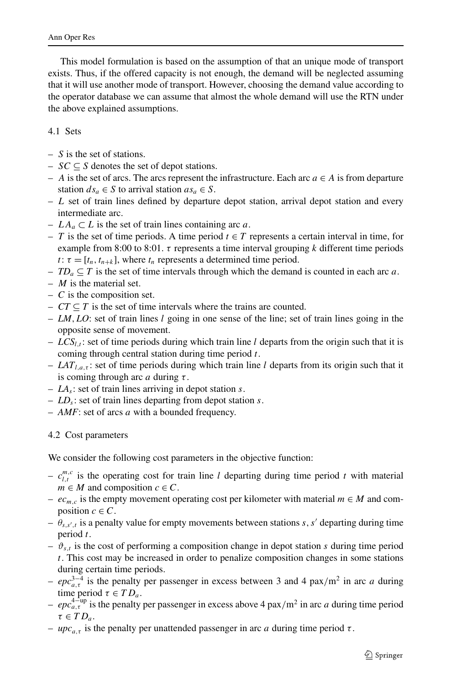This model formulation is based on the assumption of that an unique mode of transport exists. Thus, if the offered capacity is not enough, the demand will be neglected assuming that it will use another mode of transport. However, choosing the demand value according to the operator database we can assume that almost the whole demand will use the RTN under the above explained assumptions.

# 4.1 Sets

- *S* is the set of stations.
- $\overline{C}$  ≤ *S* denotes the set of depot stations.
- *A* is the set of arcs. The arcs represent the infrastructure. Each arc *a* ∈ *A* is from departure station  $ds_a \in S$  to arrival station  $as_a \in S$ .
- *L* set of train lines defined by departure depot station, arrival depot station and every intermediate arc.
- $LA<sub>a</sub> ⊂ L$  is the set of train lines containing arc *a*.
- $-$  *T* is the set of time periods. A time period  $t \in T$  represents a certain interval in time, for example from 8:00 to 8:01. *τ* represents a time interval grouping *k* different time periods *t*:  $\tau = [t_n, t_{n+k}]$ , where  $t_n$  represents a determined time period.
- $-TD_a \subseteq T$  is the set of time intervals through which the demand is counted in each arc *a*.
- *M* is the material set.
- *C* is the composition set.
- $-CT \subseteq T$  is the set of time intervals where the trains are counted.
- *LM,LO*: set of train lines *l* going in one sense of the line; set of train lines going in the opposite sense of movement.
- $-LCS<sub>l,t</sub>$ : set of time periods during which train line *l* departs from the origin such that it is coming through central station during time period *t*.
- *LATl,a,τ* : set of time periods during which train line *l* departs from its origin such that it is coming through arc *a* during *τ* .
- *LAs*: set of train lines arriving in depot station *s*.
- *LDs*: set of train lines departing from depot station *s*.
- *AMF*: set of arcs *a* with a bounded frequency.

# 4.2 Cost parameters

We consider the following cost parameters in the objective function:

- $-c_{l,t}^{m,c}$  is the operating cost for train line *l* departing during time period *t* with material  $m \in M$  and composition  $c \in C$ .
- $-$  *ec*<sub>*m,c*</sub> is the empty movement operating cost per kilometer with material  $m \in M$  and composition  $c \in C$ .
- $-\theta_{s,s',t}$  is a penalty value for empty movements between stations *s*, *s'* departing during time period *t*.
- $\vartheta_{s,t}$  is the cost of performing a composition change in depot station *s* during time period *t*. This cost may be increased in order to penalize composition changes in some stations during certain time periods.
- *epc*<sup>3</sup>−<sup>4</sup> *a,τ* is the penalty per passenger in excess between 3 and 4 pax*/*m<sup>2</sup> in arc *a* during time period  $\tau \in TD_a$ .
- $-$  *ep* $c_{a,\tau}^{4-\mu p}$  is the penalty per passenger in excess above 4 pax/m<sup>2</sup> in arc *a* during time period  $\tau \in TD_a$ .
- *upca,τ* is the penalty per unattended passenger in arc *a* during time period *τ* .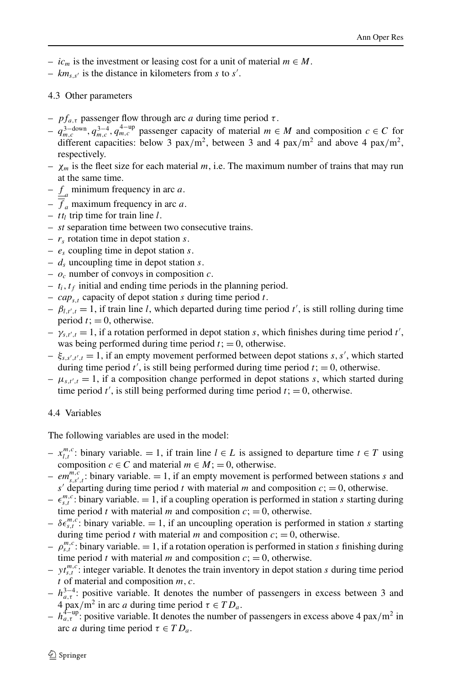- *ic<sup>m</sup>* is the investment or leasing cost for a unit of material *m* ∈ *M*.
- $km_{s,s'}$  is the distance in kilometers from *s* to *s'*.

# 4.3 Other parameters

- *pfa,τ* passenger flow through arc *a* during time period *τ* .
- $q_{m,c}^{3-down}$ ,  $q_{m,c}^{3-4}$ ,  $q_{m,c}^{4-up}$  passenger capacity of material *m* ∈ *M* and composition *c* ∈ *C* for different capacities: below 3 pax/m<sup>2</sup>, between 3 and 4 pax/m<sup>2</sup> and above 4 pax/m<sup>2</sup>, respectively.
- $-\chi_m$  is the fleet size for each material m, i.e. The maximum number of trains that may run at the same time.
- $f_a$  minimum frequency in arc *a*.
- $-\overline{f}_a$  maximum frequency in arc *a*.
- $-$  *tt<sub>l</sub>* trip time for train line *l*.
- *st* separation time between two consecutive trains.
- *rs* rotation time in depot station *s*.
- *es* coupling time in depot station *s*.
- *ds* uncoupling time in depot station *s*.
- $o_c$  number of convoys in composition *c*.
- $t_i, t_f$  initial and ending time periods in the planning period.
- *caps,t* capacity of depot station *s* during time period *t*.
- $-\beta_{l,t',t} = 1$ , if train line *l*, which departed during time period *t'*, is still rolling during time period  $t$ ; = 0, otherwise.
- $-\gamma_{s,t',t} = 1$ , if a rotation performed in depot station *s*, which finishes during time period *t'*, was being performed during time period  $t$ ; = 0, otherwise.
- $-\xi_{s,s',t',t} = 1$ , if an empty movement performed between depot stations *s*, *s'*, which started during time period  $t'$ , is still being performed during time period  $t$ ; = 0, otherwise.
- $-\mu_{s,t',t} = 1$ , if a composition change performed in depot stations *s*, which started during time period  $t'$ , is still being performed during time period  $t$ ; = 0, otherwise.

# 4.4 Variables

The following variables are used in the model:

- $x_{l,t}^{m,c}$ : binary variable. = 1, if train line  $l \in L$  is assigned to departure time  $t \in T$  using composition  $c \in C$  and material  $m \in M$ ; = 0, otherwise.
- $= em^{m,c}_{s,s',t}$ : binary variable.  $= 1$ , if an empty movement is performed between stations *s* and *s'* departing during time period *t* with material *m* and composition  $c$ ; = 0, otherwise.
- $-\epsilon_{s,t}^{m,c}$ : binary variable. = 1, if a coupling operation is performed in station *s* starting during time period *t* with material *m* and composition  $c$ ; = 0, otherwise.
- $-\delta \epsilon_{s,t}^{m,c}$ : binary variable. = 1, if an uncoupling operation is performed in station *s* starting during time period *t* with material *m* and composition  $c$ ; = 0, otherwise.
- $-\rho_{s,t}^{m,c}$ : binary variable. = 1, if a rotation operation is performed in station *s* finishing during time period *t* with material *m* and composition  $c$ ; = 0, otherwise.
- $-yt_{s,t}^{m,c}$ : integer variable. It denotes the train inventory in depot station *s* during time period *t* of material and composition *m,c*.
- *h*<sup>3</sup>−<sup>4</sup> *a,τ* : positive variable. It denotes the number of passengers in excess between 3 and  $4 \text{ pax/m}^2$  in arc *a* during time period  $\tau \in TD_a$ .
- $h_{a,\tau}^{4-\text{up}}$ : positive variable. It denotes the number of passengers in excess above 4 pax/m<sup>2</sup> in arc *a* during time period  $\tau \in TD_a$ .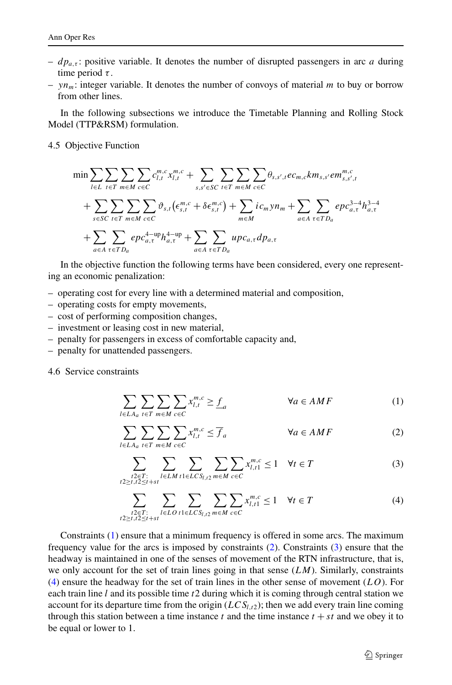- $-dp_{a,\tau}$ : positive variable. It denotes the number of disrupted passengers in arc *a* during time period *τ* .
- $-$  *yn<sub>m</sub>*: integer variable. It denotes the number of convoys of material *m* to buy or borrow from other lines.

In the following subsections we introduce the Timetable Planning and Rolling Stock Model (TTP&RSM) formulation.

4.5 Objective Function

$$
\min \sum_{l \in L} \sum_{t \in T} \sum_{m \in M} \sum_{c \in C} c_{l,t}^{m,c} x_{l,t}^{m,c} + \sum_{s,s' \in SC} \sum_{t \in T} \sum_{m \in M} \sum_{c \in C} \theta_{s,s',t} e c_{m,c} k m_{s,s'} e m_{s,s',t}^{m,c} \n+ \sum_{s \in SC} \sum_{t \in T} \sum_{m \in M} \sum_{c \in C} \vartheta_{s,t} (\epsilon_{s,t}^{m,c} + \delta \epsilon_{s,t}^{m,c}) + \sum_{m \in M} i c_m y n_m + \sum_{a \in A} \sum_{\tau \in TD_a} e p c_{a,\tau}^{3-4} h_{a,\tau}^{3-4} \n+ \sum_{a \in A} \sum_{\tau \in TD_a} e p c_{a,\tau}^{4-\text{up}} h_{a,\tau}^{4-\text{up}} + \sum_{a \in A} \sum_{\tau \in TD_a} u p c_{a,\tau} dp_{a,\tau}
$$

In the objective function the following terms have been considered, every one representing an economic penalization:

- operating cost for every line with a determined material and composition,
- operating costs for empty movements,
- cost of performing composition changes,
- investment or leasing cost in new material,
- penalty for passengers in excess of comfortable capacity and,
- penalty for unattended passengers.

4.6 Service constraints

<span id="page-10-3"></span><span id="page-10-2"></span><span id="page-10-1"></span><span id="page-10-0"></span>
$$
\sum_{l \in L_{A_a}} \sum_{t \in T} \sum_{m \in M} \sum_{c \in C} x_{l,t}^{m,c} \ge \underline{f}_a \qquad \forall a \in AMF \tag{1}
$$

$$
\sum_{l \in LA_a} \sum_{t \in T} \sum_{m \in M} \sum_{c \in C} x_{l,t}^{m,c} \le \overline{f}_a \qquad \forall a \in AMF
$$
 (2)

$$
\sum_{\substack{t2 \in T:\\t2 \le t, t2 \le t+st}} \sum_{l \in LM} \sum_{t1 \in LCS_{l, t2}} \sum_{m \in M} \sum_{c \in C} x_{l, t1}^{m, c} \le 1 \quad \forall t \in T
$$
\n(3)

$$
\sum_{\substack{t2 \in T:\\2 \ge t, t2 \le t+st}} \sum_{l \in LO} \sum_{t1 \in LCS_{l,t2}} \sum_{m \in M} \sum_{c \in C} x_{l,t1}^{m,c} \le 1 \quad \forall t \in T
$$
 (4)

Constraints [\(1](#page-10-0)) ensure that a minimum frequency is offered in some arcs. The maximum frequency value for the arcs is imposed by constraints [\(2](#page-10-1)). Constraints ([3\)](#page-10-2) ensure that the headway is maintained in one of the senses of movement of the RTN infrastructure, that is, we only account for the set of train lines going in that sense  $(LM)$ . Similarly, constraints ([4\)](#page-10-3) ensure the headway for the set of train lines in the other sense of movement (*LO*). For each train line *l* and its possible time *t*2 during which it is coming through central station we account for its departure time from the origin  $(LCS<sub>L12</sub>)$ ; then we add every train line coming through this station between a time instance  $t$  and the time instance  $t + st$  and we obey it to be equal or lower to 1.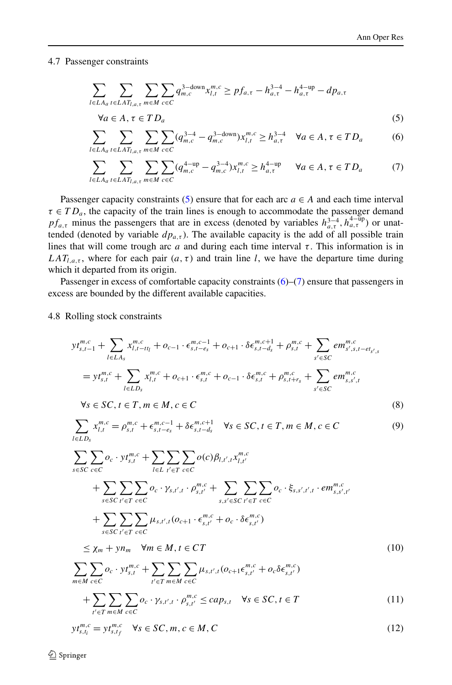#### 4.7 Passenger constraints

<span id="page-11-2"></span><span id="page-11-1"></span><span id="page-11-0"></span>
$$
\sum_{l \in LA_a} \sum_{t \in LAT_{l,a,\tau}} \sum_{m \in M} \sum_{c \in C} q_{m,c}^{3-\text{down}} x_{l,t}^{m,c} \geq p f_{a,\tau} - h_{a,\tau}^{3-4} - h_{a,\tau}^{4-\text{up}} - dp_{a,\tau}
$$

$$
\forall a \in A, \tau \in TD_a
$$
\n
$$
\sum_{\tau \in \mathcal{F}} \sum_{\tau \in \mathcal{F}} \sum_{a \in \mathcal{A}} \sum_{\tau \in \mathcal{F}} (-a^{3-4} - a^{3-\text{down}}) \mathbf{x}^{m,c} > h^{3-4} \quad \forall a \in A \ \tau \in TD
$$
\n
$$
(6)
$$

$$
\sum_{l \in LA_a} \sum_{t \in LAT_{l,a,\tau}} \sum_{m \in M} \sum_{c \in C} (q_{m,c}^{3-4} - q_{m,c}^{3-\text{down}}) x_{l,t}^{m,c} \ge h_{a,\tau}^{3-4} \quad \forall a \in A, \tau \in TD_a \tag{6}
$$

$$
\sum_{l \in LA_a} \sum_{t \in LAT_{l,a,\tau}} \sum_{m \in M} \sum_{c \in C} (q_{m,c}^{4-\text{up}} - q_{m,c}^{3-4}) x_{l,t}^{m,c} \ge h_{a,\tau}^{4-\text{up}} \qquad \forall a \in A, \tau \in TD_a \tag{7}
$$

Passenger capacity constraints [\(5\)](#page-11-0) ensure that for each arc  $a \in A$  and each time interval  $\tau \in TD_a$ , the capacity of the train lines is enough to accommodate the passenger demand *pf<sub>a,τ</sub>* minus the passengers that are in excess (denoted by variables  $h_{a,\tau}^{3-4}$ ,  $h_{a,\tau}^{4-\text{up}}$ ) or unattended (denoted by variable  $dp_{a,\tau}$ ). The available capacity is the add of all possible train lines that will come trough arc  $a$  and during each time interval  $\tau$ . This information is in  $LAT_{l,a,\tau}$ , where for each pair  $(a, \tau)$  and train line *l*, we have the departure time during which it departed from its origin.

Passenger in excess of comfortable capacity constraints  $(6)$  $(6)$ – $(7)$  $(7)$  $(7)$  ensure that passengers in excess are bounded by the different available capacities.

#### 4.8 Rolling stock constraints

<span id="page-11-4"></span><span id="page-11-3"></span>
$$
y t_{s,t-1}^{m,c} + \sum_{l \in LA_s} x_{l,t-tl_l}^{m,c} + o_{c-1} \cdot \epsilon_{s,t-e_s}^{m,c-1} + o_{c+1} \cdot \delta \epsilon_{s,t-d_s}^{m,c+1} + \rho_{s,t}^{m,c} + \sum_{s' \in SC} e m_{s',s,t-e_{s',s}}^{m,c}
$$
  
=  $y t_{s,t}^{m,c} + \sum_{l \in LD_s} x_{l,t}^{m,c} + o_{c+1} \cdot \epsilon_{s,t}^{m,c} + o_{c-1} \cdot \delta \epsilon_{s,t}^{m,c} + \rho_{s,t+r_s}^{m,c} + \sum_{s' \in SC} e m_{s,s',t}^{m,c}$   

$$
\forall s \in SC \ t \in T \ m \in M \ c \in C
$$
 (8)

$$
v_3 \in \mathcal{D}\mathcal{C}, t \in \mathcal{I}, m \in \mathcal{M}, t \in \mathcal{C}
$$
\n
$$
(0)
$$

$$
\sum_{l \in LD_s} x_{l,t}^{m,c} = \rho_{s,t}^{m,c} + \epsilon_{s,t-e_s}^{m,c-1} + \delta \epsilon_{s,t-d_s}^{m,c+1} \quad \forall s \in SC, t \in T, m \in M, c \in C
$$
\n
$$
\sum_{s \in SC} \sum_{c \in C} o_c \cdot y_{s,t}^{m,c} + \sum_{l \in L} \sum_{t' \in T} \sum_{c \in C} o(c) \beta_{l,t',t} x_{l,t'}^{m,c}
$$
\n
$$
+ \sum_{s \in SC} \sum_{t' \in T} \sum_{c \in C} o_c \cdot \gamma_{s,t',t} \cdot \rho_{s,t'}^{m,c} + \sum_{s,s' \in SC} \sum_{t' \in T} \sum_{c \in C} o_c \cdot \xi_{s,s',t',t} \cdot em_{s,s',t'}^{m,c}
$$
\n(9)

<span id="page-11-7"></span><span id="page-11-6"></span><span id="page-11-5"></span>
$$
+\sum_{s\in SC}\sum_{t'\in T}\sum_{c\in C}\mu_{s,t',t}(o_{c+1}\cdot\epsilon_{s,t'}^{m,c}+o_c\cdot\delta\epsilon_{s,t'}^{m,c})
$$
  

$$
\leq \chi_m + \chi n_m \quad \forall m\in M, t\in CT
$$
 (10)

$$
\sum_{m \in M} \sum_{c \in C} o_c \cdot y t_{s,t}^{m,c} + \sum_{t' \in T} \sum_{m \in M} \sum_{c \in C} \mu_{s,t',t} (o_{c+1} \epsilon_{s,t'}^{m,c} + o_c \delta \epsilon_{s,t'}^{m,c}) \n+ \sum_{t' \in T} \sum_{m \in M} \sum_{c \in C} o_c \cdot \gamma_{s,t',t} \cdot \rho_{s,t'}^{m,c} \le cap_{s,t} \quad \forall s \in SC, t \in T
$$
\n(11)

$$
yt_{s,t_i}^{m,c} = yt_{s,t_f}^{m,c} \quad \forall s \in SC, m, c \in M, C
$$
\n
$$
(12)
$$

 $\mathcal{D}$  Springer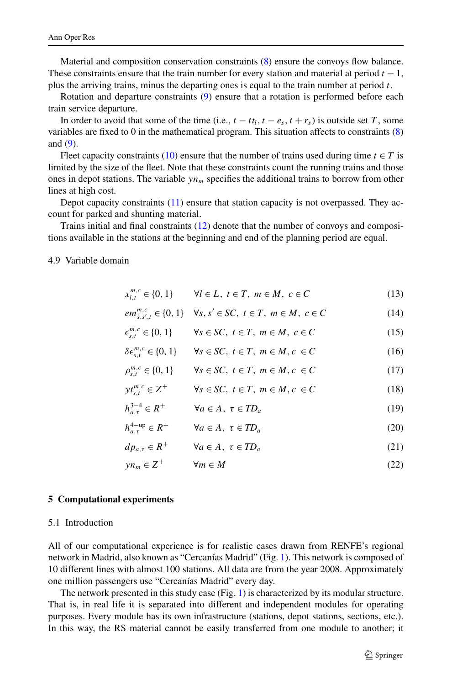Material and composition conservation constraints ([8](#page-11-3)) ensure the convoys flow balance. These constraints ensure that the train number for every station and material at period  $t - 1$ , plus the arriving trains, minus the departing ones is equal to the train number at period *t*.

Rotation and departure constraints [\(9\)](#page-11-4) ensure that a rotation is performed before each train service departure.

In order to avoid that some of the time (i.e.,  $t - t_1, t - e_s, t + r_s$ ) is outside set *T*, some variables are fixed to 0 in the mathematical program. This situation affects to constraints ([8](#page-11-3)) and [\(9\)](#page-11-4).

Fleet capacity constraints [\(10\)](#page-11-5) ensure that the number of trains used during time  $t \in T$  is limited by the size of the fleet. Note that these constraints count the running trains and those ones in depot stations. The variable  $yn_m$  specifies the additional trains to borrow from other lines at high cost.

Depot capacity constraints  $(11)$  $(11)$  $(11)$  ensure that station capacity is not overpassed. They account for parked and shunting material.

Trains initial and final constraints [\(12\)](#page-11-7) denote that the number of convoys and compositions available in the stations at the beginning and end of the planning period are equal.

4.9 Variable domain

| $x_{l,t}^{m,c} \in \{0, 1\}$<br>(13)<br>$\forall l \in L, t \in T, m \in M, c \in C$ |  |  |
|--------------------------------------------------------------------------------------|--|--|
|--------------------------------------------------------------------------------------|--|--|

$$
em_{s,s',t}^{m,c} \in \{0,1\} \quad \forall s,s' \in SC, \ t \in T, \ m \in M, \ c \in C
$$
 (14)

$$
\epsilon_{s,t}^{m,c} \in \{0,1\} \qquad \forall s \in SC, \ t \in T, \ m \in M, \ c \in C \tag{15}
$$

$$
\delta \epsilon_{s,t}^{m,c} \in \{0, 1\} \qquad \forall s \in SC, \ t \in T, \ m \in M, c \in C \tag{16}
$$

$$
\rho_{s,t}^{m,c} \in \{0, 1\} \qquad \forall s \in SC, \ t \in T, \ m \in M, c \in C \tag{17}
$$

$$
yt_{s,t}^{m,c} \in Z^+ \qquad \forall s \in SC, \ t \in T, \ m \in M, c \in C \tag{18}
$$

$$
h_{a,\tau}^{3-4} \in R^+ \qquad \forall a \in A, \ \tau \in TD_a \tag{19}
$$

$$
h_{a,\tau}^{4-\text{up}} \in R^+ \qquad \forall a \in A, \ \tau \in TD_a \tag{20}
$$

$$
dp_{a,\tau} \in R^+ \qquad \forall a \in A, \ \tau \in TD_a \tag{21}
$$

$$
yn_m \in Z^+ \qquad \forall m \in M \tag{22}
$$

### <span id="page-12-0"></span>**5 Computational experiments**

### 5.1 Introduction

All of our computational experience is for realistic cases drawn from RENFE's regional network in Madrid, also known as "Cercanías Madrid" (Fig. [1](#page-13-0)). This network is composed of 10 different lines with almost 100 stations. All data are from the year 2008. Approximately one million passengers use "Cercanías Madrid" every day.

The network presented in this study case (Fig. [1](#page-13-0)) is characterized by its modular structure. That is, in real life it is separated into different and independent modules for operating purposes. Every module has its own infrastructure (stations, depot stations, sections, etc.). In this way, the RS material cannot be easily transferred from one module to another; it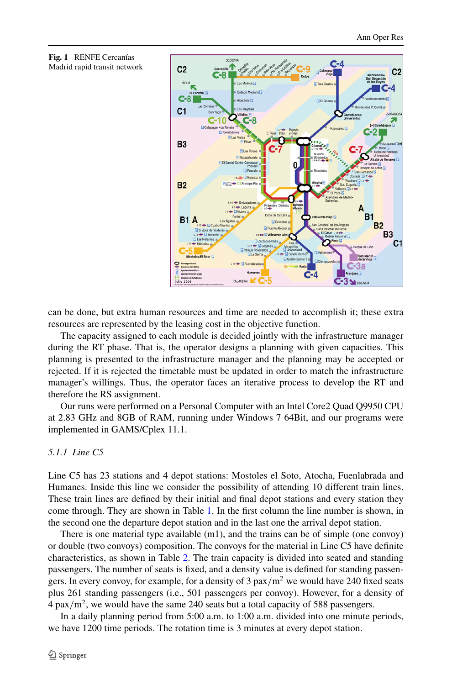

<span id="page-13-0"></span>**Fig. 1** RENFE Cercanías Madrid rapid transit network

can be done, but extra human resources and time are needed to accomplish it; these extra resources are represented by the leasing cost in the objective function.

The capacity assigned to each module is decided jointly with the infrastructure manager during the RT phase. That is, the operator designs a planning with given capacities. This planning is presented to the infrastructure manager and the planning may be accepted or rejected. If it is rejected the timetable must be updated in order to match the infrastructure manager's willings. Thus, the operator faces an iterative process to develop the RT and therefore the RS assignment.

Our runs were performed on a Personal Computer with an Intel Core2 Quad Q9950 CPU at 2.83 GHz and 8GB of RAM, running under Windows 7 64Bit, and our programs were implemented in GAMS/Cplex 11.1.

# *5.1.1 Line C5*

Line C5 has 23 stations and 4 depot stations: Mostoles el Soto, Atocha, Fuenlabrada and Humanes. Inside this line we consider the possibility of attending 10 different train lines. These train lines are defined by their initial and final depot stations and every station they come through. They are shown in Table [1.](#page-14-0) In the first column the line number is shown, in the second one the departure depot station and in the last one the arrival depot station.

There is one material type available (m1), and the trains can be of simple (one convoy) or double (two convoys) composition. The convoys for the material in Line C5 have definite characteristics, as shown in Table [2.](#page-14-1) The train capacity is divided into seated and standing passengers. The number of seats is fixed, and a density value is defined for standing passengers. In every convoy, for example, for a density of 3 pax*/*m<sup>2</sup> we would have 240 fixed seats plus 261 standing passengers (i.e., 501 passengers per convoy). However, for a density of  $4 \text{ pax/m}^2$ , we would have the same 240 seats but a total capacity of 588 passengers.

In a daily planning period from 5:00 a.m. to 1:00 a.m. divided into one minute periods, we have 1200 time periods. The rotation time is 3 minutes at every depot station.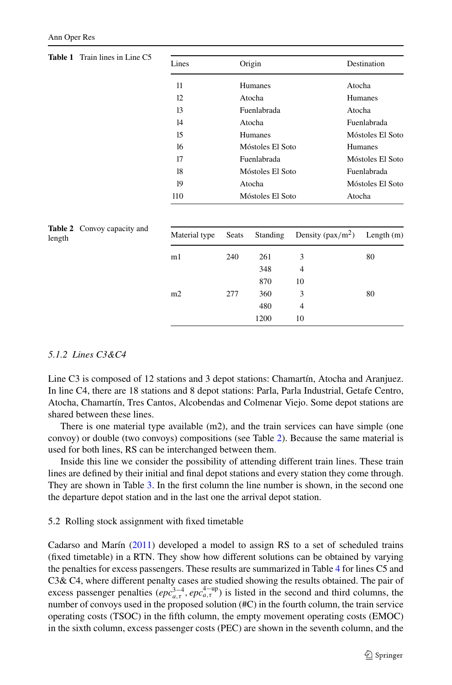| Lines | Origin           | Destination      |
|-------|------------------|------------------|
| 11    | <b>Humanes</b>   | Atocha           |
| 12.   | Atocha           | <b>Humanes</b>   |
| 13    | Fuenlabrada      | Atocha           |
| 14    | Atocha           | Fuenlabrada      |
| 15    | <b>Humanes</b>   | Móstoles El Soto |
| 16    | Móstoles El Soto | <b>Humanes</b>   |
| 17    | Fuenlabrada      | Móstoles El Soto |
| 18    | Móstoles El Soto | Fuenlabrada      |
| 19    | Atocha           | Móstoles El Soto |
| 110   | Móstoles El Soto | Atocha           |

<span id="page-14-0"></span>

<span id="page-14-1"></span>

|        | <b>Table 2</b> Convoy capacity and |
|--------|------------------------------------|
| length |                                    |

| length | <b>Table 2</b> Convoy capacity and | Material type  |     |      | Seats Standing Density $(\text{pax/m}^2)$ Length (m) |    |
|--------|------------------------------------|----------------|-----|------|------------------------------------------------------|----|
|        |                                    | m1             | 240 | 261  |                                                      | 80 |
|        |                                    |                |     | 348  | 4                                                    |    |
|        |                                    |                |     | 870  | 10                                                   |    |
|        |                                    | m <sub>2</sub> | 277 | 360  | 3                                                    | 80 |
|        |                                    |                |     | 480  | 4                                                    |    |
|        |                                    |                |     | 1200 | 10                                                   |    |
|        |                                    |                |     |      |                                                      |    |

# *5.1.2 Lines C3&C4*

Line C3 is composed of 12 stations and 3 depot stations: Chamartín, Atocha and Aranjuez. In line C4, there are 18 stations and 8 depot stations: Parla, Parla Industrial, Getafe Centro, Atocha, Chamartín, Tres Cantos, Alcobendas and Colmenar Viejo. Some depot stations are shared between these lines.

There is one material type available (m2), and the train services can have simple (one convoy) or double (two convoys) compositions (see Table [2](#page-14-1)). Because the same material is used for both lines, RS can be interchanged between them.

Inside this line we consider the possibility of attending different train lines. These train lines are defined by their initial and final depot stations and every station they come through. They are shown in Table [3.](#page-15-0) In the first column the line number is shown, in the second one the departure depot station and in the last one the arrival depot station.

# 5.2 Rolling stock assignment with fixed timetable

Cadarso and Marín ([2011\)](#page-21-5) developed a model to assign RS to a set of scheduled trains (fixed timetable) in a RTN. They show how different solutions can be obtained by varying the penalties for excess passengers. These results are summarized in Table [4](#page-15-1) for lines C5 and C3& C4, where different penalty cases are studied showing the results obtained. The pair of excess passenger penalties ( $epc_{a,\tau}^{3-4}$ ,  $epc_{a,\tau}^{4-\text{up}}$ ) is listed in the second and third columns, the number of convoys used in the proposed solution (#C) in the fourth column, the train service operating costs (TSOC) in the fifth column, the empty movement operating costs (EMOC) in the sixth column, excess passenger costs (PEC) are shown in the seventh column, and the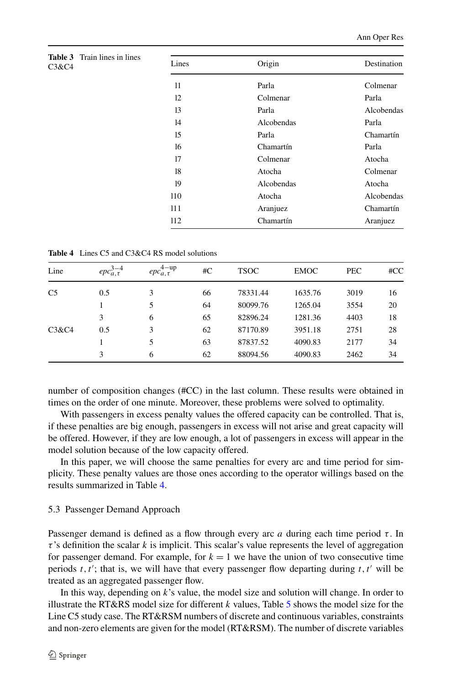<span id="page-15-0"></span>

| <b>Table 3</b> Train lines in lines |       |            |             |
|-------------------------------------|-------|------------|-------------|
| C3&C4                               | Lines | Origin     | Destination |
|                                     | 11    | Parla      | Colmenar    |
|                                     | 12    | Colmenar   | Parla       |
|                                     | 13    | Parla      | Alcobendas  |
|                                     | 14    | Alcobendas | Parla       |
|                                     | 15    | Parla      | Chamartín   |
|                                     | 16    | Chamartín  | Parla       |
|                                     | 17    | Colmenar   | Atocha      |
|                                     | 18    | Atocha     | Colmenar    |
|                                     | 19    | Alcobendas | Atocha      |
|                                     | 110   | Atocha     | Alcobendas  |
|                                     | 111   | Aranjuez   | Chamartín   |
|                                     | 112   | Chamartín  | Aranjuez    |
|                                     |       |            |             |

<span id="page-15-1"></span>**Table 4** Lines C5 and C3&C4 RS model solutions

| Line           | $3 - 4$<br>$epc_{a,\tau}$ | $4 - up$<br>$epc_{a,\tau}$ | #C | <b>TSOC</b> | <b>EMOC</b> | PEC  | $\#CC$ |
|----------------|---------------------------|----------------------------|----|-------------|-------------|------|--------|
| C <sub>5</sub> | 0.5                       | 3                          | 66 | 78331.44    | 1635.76     | 3019 | 16     |
|                |                           | 5                          | 64 | 80099.76    | 1265.04     | 3554 | 20     |
|                | 3                         | 6                          | 65 | 82896.24    | 1281.36     | 4403 | 18     |
| C3&C4          | 0.5                       | 3                          | 62 | 87170.89    | 3951.18     | 2751 | 28     |
|                |                           | 5                          | 63 | 87837.52    | 4090.83     | 2177 | 34     |
|                | 3                         | 6                          | 62 | 88094.56    | 4090.83     | 2462 | 34     |

number of composition changes (#CC) in the last column. These results were obtained in times on the order of one minute. Moreover, these problems were solved to optimality.

With passengers in excess penalty values the offered capacity can be controlled. That is, if these penalties are big enough, passengers in excess will not arise and great capacity will be offered. However, if they are low enough, a lot of passengers in excess will appear in the model solution because of the low capacity offered.

In this paper, we will choose the same penalties for every arc and time period for simplicity. These penalty values are those ones according to the operator willings based on the results summarized in Table [4](#page-15-1).

### 5.3 Passenger Demand Approach

Passenger demand is defined as a flow through every arc *a* during each time period *τ* . In *τ* 's definition the scalar *k* is implicit. This scalar's value represents the level of aggregation for passenger demand. For example, for  $k = 1$  we have the union of two consecutive time periods  $t, t'$ ; that is, we will have that every passenger flow departing during  $t, t'$  will be treated as an aggregated passenger flow.

In this way, depending on *k*'s value, the model size and solution will change. In order to illustrate the RT&RS model size for different *k* values, Table [5](#page-16-0) shows the model size for the Line C5 study case. The RT&RSM numbers of discrete and continuous variables, constraints and non-zero elements are given for the model (RT&RSM). The number of discrete variables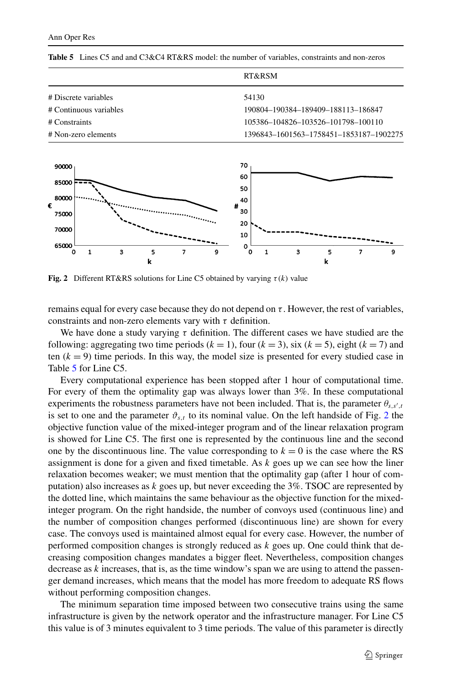|                        | RT&RSM                                  |
|------------------------|-----------------------------------------|
| # Discrete variables   | 54130                                   |
| # Continuous variables | 190804-190384-189409-188113-186847      |
| # Constraints          | 105386-104826-103526-101798-100110      |
| # Non-zero elements    | 1396843-1601563-1758451-1853187-1902275 |

<span id="page-16-0"></span>**Table 5** Lines C5 and and C3&C4 RT&RS model: the number of variables, constraints and non-zeros

<span id="page-16-1"></span>

**Fig. 2** Different RT&RS solutions for Line C5 obtained by varying  $\tau(k)$  value

remains equal for every case because they do not depend on  $\tau$ . However, the rest of variables, constraints and non-zero elements vary with *τ* definition.

We have done a study varying  $\tau$  definition. The different cases we have studied are the following: aggregating two time periods  $(k = 1)$ , four  $(k = 3)$ , six  $(k = 5)$ , eight  $(k = 7)$  and ten  $(k = 9)$  time periods. In this way, the model size is presented for every studied case in Table [5](#page-16-0) for Line C5.

Every computational experience has been stopped after 1 hour of computational time. For every of them the optimality gap was always lower than 3%. In these computational experiments the robustness parameters have not been included. That is, the parameter  $\theta_{s,s',t}$ is set to one and the parameter  $\vartheta_{s,t}$  to its nominal value. On the left handside of Fig. [2](#page-16-1) the objective function value of the mixed-integer program and of the linear relaxation program is showed for Line C5. The first one is represented by the continuous line and the second one by the discontinuous line. The value corresponding to  $k = 0$  is the case where the RS assignment is done for a given and fixed timetable. As *k* goes up we can see how the liner relaxation becomes weaker; we must mention that the optimality gap (after 1 hour of computation) also increases as  $k$  goes up, but never exceeding the  $3\%$ . TSOC are represented by the dotted line, which maintains the same behaviour as the objective function for the mixedinteger program. On the right handside, the number of convoys used (continuous line) and the number of composition changes performed (discontinuous line) are shown for every case. The convoys used is maintained almost equal for every case. However, the number of performed composition changes is strongly reduced as *k* goes up. One could think that decreasing composition changes mandates a bigger fleet. Nevertheless, composition changes decrease as *k* increases, that is, as the time window's span we are using to attend the passenger demand increases, which means that the model has more freedom to adequate RS flows without performing composition changes.

The minimum separation time imposed between two consecutive trains using the same infrastructure is given by the network operator and the infrastructure manager. For Line C5 this value is of 3 minutes equivalent to 3 time periods. The value of this parameter is directly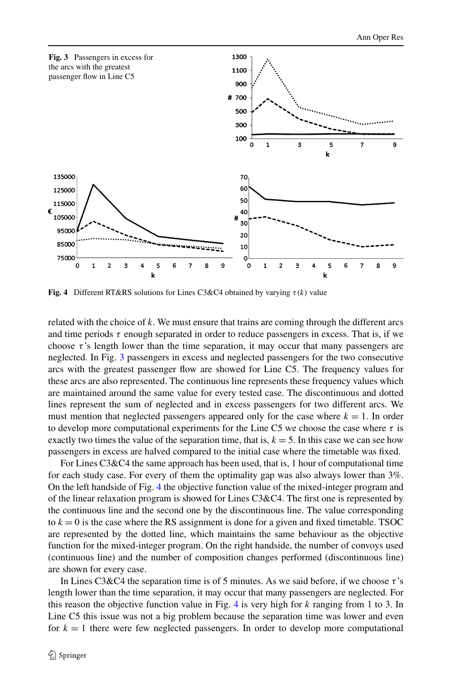<span id="page-17-0"></span>

<span id="page-17-1"></span>**Fig. 4** Different RT&RS solutions for Lines C3&C4 obtained by varying *τ(k)* value

related with the choice of *k*. We must ensure that trains are coming through the different arcs and time periods  $\tau$  enough separated in order to reduce passengers in excess. That is, if we choose  $\tau$ 's length lower than the time separation, it may occur that many passengers are neglected. In Fig. [3](#page-17-0) passengers in excess and neglected passengers for the two consecutive arcs with the greatest passenger flow are showed for Line C5. The frequency values for these arcs are also represented. The continuous line represents these frequency values which are maintained around the same value for every tested case. The discontinuous and dotted lines represent the sum of neglected and in excess passengers for two different arcs. We must mention that neglected passengers appeared only for the case where  $k = 1$ . In order to develop more computational experiments for the Line C5 we choose the case where  $\tau$  is exactly two times the value of the separation time, that is,  $k = 5$ . In this case we can see how passengers in excess are halved compared to the initial case where the timetable was fixed.

For Lines C3&C4 the same approach has been used, that is, 1 hour of computational time for each study case. For every of them the optimality gap was also always lower than 3%. On the left handside of Fig. [4](#page-17-1) the objective function value of the mixed-integer program and of the linear relaxation program is showed for Lines C3&C4. The first one is represented by the continuous line and the second one by the discontinuous line. The value corresponding to  $k = 0$  is the case where the RS assignment is done for a given and fixed timetable. TSOC are represented by the dotted line, which maintains the same behaviour as the objective function for the mixed-integer program. On the right handside, the number of convoys used (continuous line) and the number of composition changes performed (discontinuous line) are shown for every case.

In Lines C3&C4 the separation time is of 5 minutes. As we said before, if we choose *τ* 's length lower than the time separation, it may occur that many passengers are neglected. For this reason the objective function value in Fig. [4](#page-17-1) is very high for *k* ranging from 1 to 3. In Line C5 this issue was not a big problem because the separation time was lower and even for  $k = 1$  there were few neglected passengers. In order to develop more computational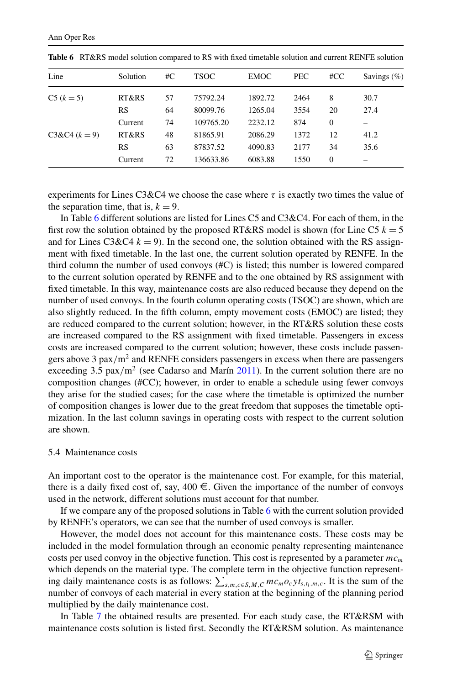| Line          | Solution  | #C | <b>TSOC</b> | <b>EMOC</b> | <b>PEC</b> | #CC      | Savings $(\%)$           |
|---------------|-----------|----|-------------|-------------|------------|----------|--------------------------|
| $C5 (k = 5)$  | RT&RS     | 57 | 75792.24    | 1892.72     | 2464       | 8        | 30.7                     |
|               | RS        | 64 | 80099.76    | 1265.04     | 3554       | 20       | 27.4                     |
|               | Current   | 74 | 109765.20   | 2232.12     | 874        | $\Omega$ |                          |
| $C3&C4 (k=9)$ | RT&RS     | 48 | 81865.91    | 2086.29     | 1372       | 12       | 41.2                     |
|               | <b>RS</b> | 63 | 87837.52    | 4090.83     | 2177       | 34       | 35.6                     |
|               | Current   | 72 | 136633.86   | 6083.88     | 1550       | $\Omega$ | $\overline{\phantom{0}}$ |

<span id="page-18-0"></span>**Table 6** RT&RS model solution compared to RS with fixed timetable solution and current RENFE solution

experiments for Lines C3&C4 we choose the case where  $\tau$  is exactly two times the value of the separation time, that is,  $k = 9$ .

In Table [6](#page-18-0) different solutions are listed for Lines C5 and C3&C4. For each of them, in the first row the solution obtained by the proposed RT&RS model is shown (for Line C5  $k = 5$ ) and for Lines C3&C4  $k = 9$ ). In the second one, the solution obtained with the RS assignment with fixed timetable. In the last one, the current solution operated by RENFE. In the third column the number of used convoys (#C) is listed; this number is lowered compared to the current solution operated by RENFE and to the one obtained by RS assignment with fixed timetable. In this way, maintenance costs are also reduced because they depend on the number of used convoys. In the fourth column operating costs (TSOC) are shown, which are also slightly reduced. In the fifth column, empty movement costs (EMOC) are listed; they are reduced compared to the current solution; however, in the RT&RS solution these costs are increased compared to the RS assignment with fixed timetable. Passengers in excess costs are increased compared to the current solution; however, these costs include passengers above 3 pax*/*m<sup>2</sup> and RENFE considers passengers in excess when there are passengers exceeding  $3.5 \text{ pax/m}^2$  (see Cadarso and Marín [2011](#page-21-5)). In the current solution there are no composition changes (#CC); however, in order to enable a schedule using fewer convoys they arise for the studied cases; for the case where the timetable is optimized the number of composition changes is lower due to the great freedom that supposes the timetable optimization. In the last column savings in operating costs with respect to the current solution are shown.

### 5.4 Maintenance costs

An important cost to the operator is the maintenance cost. For example, for this material, there is a daily fixed cost of, say,  $400 \in$ . Given the importance of the number of convoys used in the network, different solutions must account for that number.

If we compare any of the proposed solutions in Table [6](#page-18-0) with the current solution provided by RENFE's operators, we can see that the number of used convoys is smaller.

However, the model does not account for this maintenance costs. These costs may be included in the model formulation through an economic penalty representing maintenance costs per used convoy in the objective function. This cost is represented by a parameter  $mc<sub>m</sub>$ which depends on the material type. The complete term in the objective function representing daily maintenance costs is as follows:  $\sum_{s,m,c \in S,M,C} mc_m o_c y t_{s,t_i,m,c}$ . It is the sum of the number of convoys of each material in every station at the beginning of the planning period multiplied by the daily maintenance cost.

In Table [7](#page-19-0) the obtained results are presented. For each study case, the RT&RSM with maintenance costs solution is listed first. Secondly the RT&RSM solution. As maintenance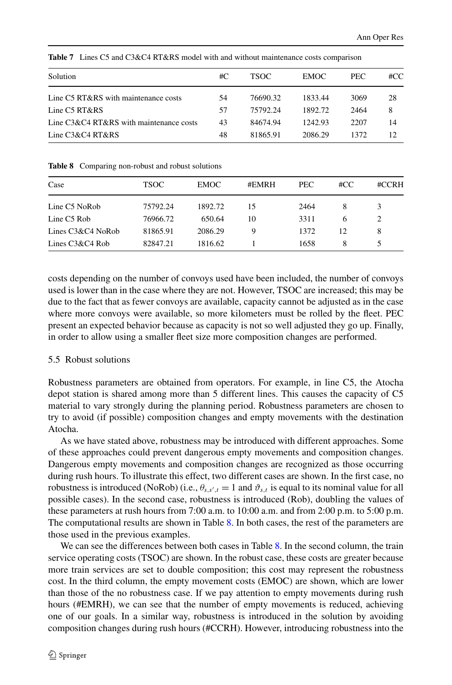<span id="page-19-1"></span>

| Solution                                | #C | <b>TSOC</b> | <b>EMOC</b> | PEC.  | #CC |
|-----------------------------------------|----|-------------|-------------|-------|-----|
| Line C5 RT&RS with maintenance costs    | 54 | 76690.32    | 1833.44     | 3069  | 28  |
| Line C5 RT&RS                           | 57 | 75792.24    | 1892.72     | 2464  | 8   |
| Line C3&C4 RT&RS with maintenance costs | 43 | 84674.94    | 1242.93     | 2207  | 14  |
| Line C3&C4 RT&RS                        | 48 | 81865.91    | 2086.29     | 1372. | 12  |

<span id="page-19-0"></span>**Table 7** Lines C5 and C3&C4 RT&RS model with and without maintenance costs comparison

**Table 8** Comparing non-robust and robust solutions

| Case              | <b>TSOC</b> | <b>EMOC</b> | #EMRH | <b>PEC</b> | #CC | #CCRH |
|-------------------|-------------|-------------|-------|------------|-----|-------|
| Line C5 NoRob     | 75792.24    | 1892.72     | 15    | 2464       |     | 3     |
| Line C5 Rob       | 76966.72    | 650.64      | 10    | 3311       | 6   | 2     |
| Lines C3&C4 NoRob | 81865.91    | 2086.29     |       | 1372       | 12  | 8     |
| Lines $C3&C4$ Rob | 82847.21    | 1816.62     |       | 1658       | 8   | 5     |

costs depending on the number of convoys used have been included, the number of convoys used is lower than in the case where they are not. However, TSOC are increased; this may be due to the fact that as fewer convoys are available, capacity cannot be adjusted as in the case where more convoys were available, so more kilometers must be rolled by the fleet. PEC present an expected behavior because as capacity is not so well adjusted they go up. Finally, in order to allow using a smaller fleet size more composition changes are performed.

# 5.5 Robust solutions

Robustness parameters are obtained from operators. For example, in line C5, the Atocha depot station is shared among more than 5 different lines. This causes the capacity of C5 material to vary strongly during the planning period. Robustness parameters are chosen to try to avoid (if possible) composition changes and empty movements with the destination Atocha.

As we have stated above, robustness may be introduced with different approaches. Some of these approaches could prevent dangerous empty movements and composition changes. Dangerous empty movements and composition changes are recognized as those occurring during rush hours. To illustrate this effect, two different cases are shown. In the first case, no robustness is introduced (NoRob) (i.e.,  $\theta_{s,s',t} = 1$  and  $\vartheta_{s,t}$  is equal to its nominal value for all possible cases). In the second case, robustness is introduced (Rob), doubling the values of these parameters at rush hours from 7:00 a.m. to 10:00 a.m. and from 2:00 p.m. to 5:00 p.m. The computational results are shown in Table [8](#page-19-1). In both cases, the rest of the parameters are those used in the previous examples.

We can see the differences between both cases in Table [8](#page-19-1). In the second column, the train service operating costs (TSOC) are shown. In the robust case, these costs are greater because more train services are set to double composition; this cost may represent the robustness cost. In the third column, the empty movement costs (EMOC) are shown, which are lower than those of the no robustness case. If we pay attention to empty movements during rush hours (#EMRH), we can see that the number of empty movements is reduced, achieving one of our goals. In a similar way, robustness is introduced in the solution by avoiding composition changes during rush hours (#CCRH). However, introducing robustness into the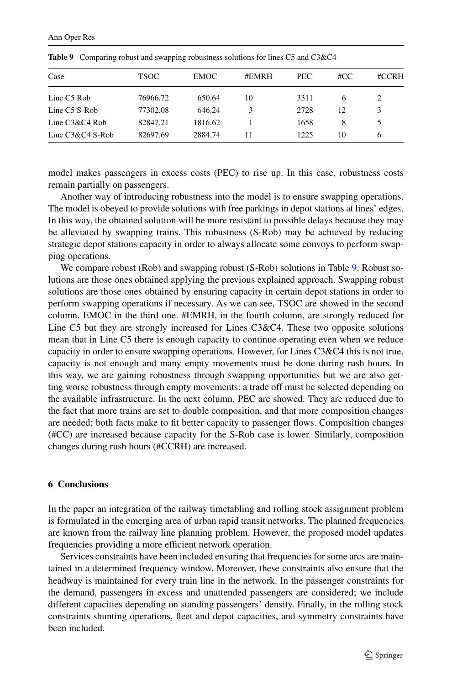| Case               | <b>TSOC</b> | EMOC.   | #EMRH | PEC. | #CC | #CCRH |
|--------------------|-------------|---------|-------|------|-----|-------|
| Line C5 Rob        | 76966.72    | 650.64  | 10    | 3311 | 6   | 2     |
| Line C5 S-Rob      | 77302.08    | 646.24  | 3     | 2728 | 12  | 3     |
| Line $C3&C4$ Rob   | 82847.21    | 1816.62 |       | 1658 | 8   | 5.    |
| Line $C3&C4$ S-Rob | 82697.69    | 2884.74 | 11    | 1225 | 10  | 6     |

<span id="page-20-1"></span>**Table 9** Comparing robust and swapping robustness solutions for lines C5 and C3&C4

model makes passengers in excess costs (PEC) to rise up. In this case, robustness costs remain partially on passengers.

Another way of introducing robustness into the model is to ensure swapping operations. The model is obeyed to provide solutions with free parkings in depot stations at lines' edges. In this way, the obtained solution will be more resistant to possible delays because they may be alleviated by swapping trains. This robustness (S-Rob) may be achieved by reducing strategic depot stations capacity in order to always allocate some convoys to perform swapping operations.

We compare robust (Rob) and swapping robust (S-Rob) solutions in Table [9](#page-20-1). Robust solutions are those ones obtained applying the previous explained approach. Swapping robust solutions are those ones obtained by ensuring capacity in certain depot stations in order to perform swapping operations if necessary. As we can see, TSOC are showed in the second column. EMOC in the third one. #EMRH, in the fourth column, are strongly reduced for Line C5 but they are strongly increased for Lines  $C3\&C4$ . These two opposite solutions mean that in Line C5 there is enough capacity to continue operating even when we reduce capacity in order to ensure swapping operations. However, for Lines C3&C4 this is not true, capacity is not enough and many empty movements must be done during rush hours. In this way, we are gaining robustness through swapping opportunities but we are also getting worse robustness through empty movements: a trade off must be selected depending on the available infrastructure. In the next column, PEC are showed. They are reduced due to the fact that more trains are set to double composition, and that more composition changes are needed; both facts make to fit better capacity to passenger flows. Composition changes (#CC) are increased because capacity for the S-Rob case is lower. Similarly, composition changes during rush hours (#CCRH) are increased.

# <span id="page-20-0"></span>**6 Conclusions**

In the paper an integration of the railway timetabling and rolling stock assignment problem is formulated in the emerging area of urban rapid transit networks. The planned frequencies are known from the railway line planning problem. However, the proposed model updates frequencies providing a more efficient network operation.

Services constraints have been included ensuring that frequencies for some arcs are maintained in a determined frequency window. Moreover, these constraints also ensure that the headway is maintained for every train line in the network. In the passenger constraints for the demand, passengers in excess and unattended passengers are considered; we include different capacities depending on standing passengers' density. Finally, in the rolling stock constraints shunting operations, fleet and depot capacities, and symmetry constraints have been included.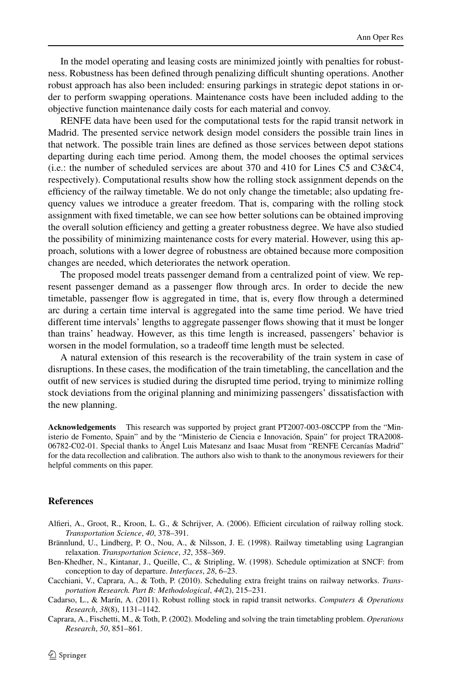In the model operating and leasing costs are minimized jointly with penalties for robustness. Robustness has been defined through penalizing difficult shunting operations. Another robust approach has also been included: ensuring parkings in strategic depot stations in order to perform swapping operations. Maintenance costs have been included adding to the objective function maintenance daily costs for each material and convoy.

RENFE data have been used for the computational tests for the rapid transit network in Madrid. The presented service network design model considers the possible train lines in that network. The possible train lines are defined as those services between depot stations departing during each time period. Among them, the model chooses the optimal services (i.e.: the number of scheduled services are about 370 and 410 for Lines C5 and C3&C4, respectively). Computational results show how the rolling stock assignment depends on the efficiency of the railway timetable. We do not only change the timetable; also updating frequency values we introduce a greater freedom. That is, comparing with the rolling stock assignment with fixed timetable, we can see how better solutions can be obtained improving the overall solution efficiency and getting a greater robustness degree. We have also studied the possibility of minimizing maintenance costs for every material. However, using this approach, solutions with a lower degree of robustness are obtained because more composition changes are needed, which deteriorates the network operation.

The proposed model treats passenger demand from a centralized point of view. We represent passenger demand as a passenger flow through arcs. In order to decide the new timetable, passenger flow is aggregated in time, that is, every flow through a determined arc during a certain time interval is aggregated into the same time period. We have tried different time intervals' lengths to aggregate passenger flows showing that it must be longer than trains' headway. However, as this time length is increased, passengers' behavior is worsen in the model formulation, so a tradeoff time length must be selected.

A natural extension of this research is the recoverability of the train system in case of disruptions. In these cases, the modification of the train timetabling, the cancellation and the outfit of new services is studied during the disrupted time period, trying to minimize rolling stock deviations from the original planning and minimizing passengers' dissatisfaction with the new planning.

<span id="page-21-3"></span><span id="page-21-0"></span>**Acknowledgements** This research was supported by project grant PT2007-003-08CCPP from the "Ministerio de Fomento, Spain" and by the "Ministerio de Ciencia e Innovación, Spain" for project TRA2008- 06782-C02-01. Special thanks to Ángel Luis Matesanz and Isaac Musat from "RENFE Cercanías Madrid" for the data recollection and calibration. The authors also wish to thank to the anonymous reviewers for their helpful comments on this paper.

### <span id="page-21-5"></span><span id="page-21-4"></span><span id="page-21-2"></span>**References**

- <span id="page-21-1"></span>Alfieri, A., Groot, R., Kroon, L. G., & Schrijver, A. (2006). Efficient circulation of railway rolling stock. *Transportation Science*, *40*, 378–391.
- Brännlund, U., Lindberg, P. O., Nou, A., & Nilsson, J. E. (1998). Railway timetabling using Lagrangian relaxation. *Transportation Science*, *32*, 358–369.
- Ben-Khedher, N., Kintanar, J., Queille, C., & Stripling, W. (1998). Schedule optimization at SNCF: from conception to day of departure. *Interfaces*, *28*, 6–23.
- Cacchiani, V., Caprara, A., & Toth, P. (2010). Scheduling extra freight trains on railway networks. *Transportation Research. Part B: Methodological*, *44*(2), 215–231.
- Cadarso, L., & Marín, A. (2011). Robust rolling stock in rapid transit networks. *Computers & Operations Research*, *38*(8), 1131–1142.
- Caprara, A., Fischetti, M., & Toth, P. (2002). Modeling and solving the train timetabling problem. *Operations Research*, *50*, 851–861.